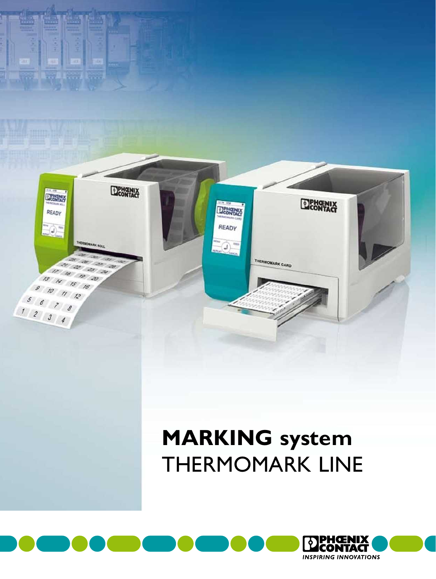

# **MARKING system** THERMOMARK LINE

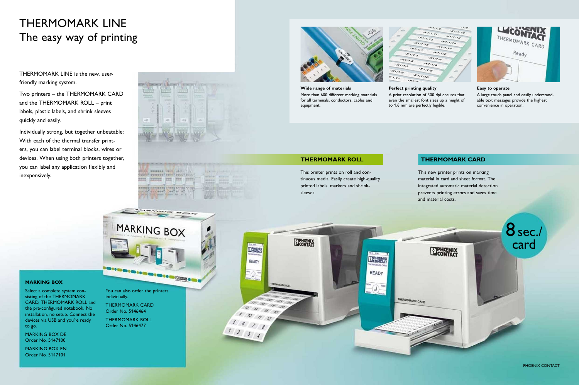## THERMOMARK LINE The easy way of printing

THERMOMARK LINE is the new, userfriendly marking system.

Two printers – the THERMOMARK CARD and the THERMOMARK ROLL – print labels, plastic labels, and shrink sleeves quickly and easily.

Individually strong, but together unbeatable: With each of the thermal transfer printers, you can label terminal blocks, wires or devices. When using both printers together, you can label any application flexibly and inexpensively.

> You can also order the printers individually.

MARKING BOX





Select a complete system consisting of the THERMOMARK CARD, THERMOMARK ROLL and the pre-configured notebook. No installation, no setup. Connect the devices via USB and you're ready to go.

MARKING BOX DE Order No. 5147100

MARKING BOX EN Order No. 5147101

THERMOMARK CARD Order No. 5146464

THERMOMARK ROLL Order No. 5146477





**Wide range of materials** More than 600 different marking materials for all terminals, conductors, cables and

#### $x_{i_1i_2i_3}$  $x_{111,y_2}$  $x_{7:7.78}$  $47.7.7$  $47.7.3$  $\star_{\tau_{\text{CL}}}$  $x_{7/7,s}$  $x_{T/T/d}$  $47.7.5$  $\mathcal{H}_{T/T_{\text{eff}}}$  $x_{7.7.9}$  $x_{7.7.70}$  $7.77$  $x_{1}, \ldots$

**Perfect printing quality** A print resolution of 300 dpi ensures that even the smallest font sizes up a height of



 $13 \t 14 \t 15 \t 16$  $9 10 11 12$ 

 $5 6 7 8$  $\begin{array}{c|c|c|c|c|c|c|c|c} \hline 1&2&3&4 \end{array}$ 



to 1.6 mm are perfectly legible.



This printer prints on roll and continuous media. Easily create high-quality printed labels, markers and shrink-

#### **THERMOMARK ROLL**

This new printer prints on marking material in card and sheet format. The integrated automatic material detection prevents printing errors and saves time and material costs.

### **THERMOMARK CARD**

#### **Easy to operate**

A large touch panel and easily understandable text messages provide the highest convenience in operation.

PHOENIX CONTACT